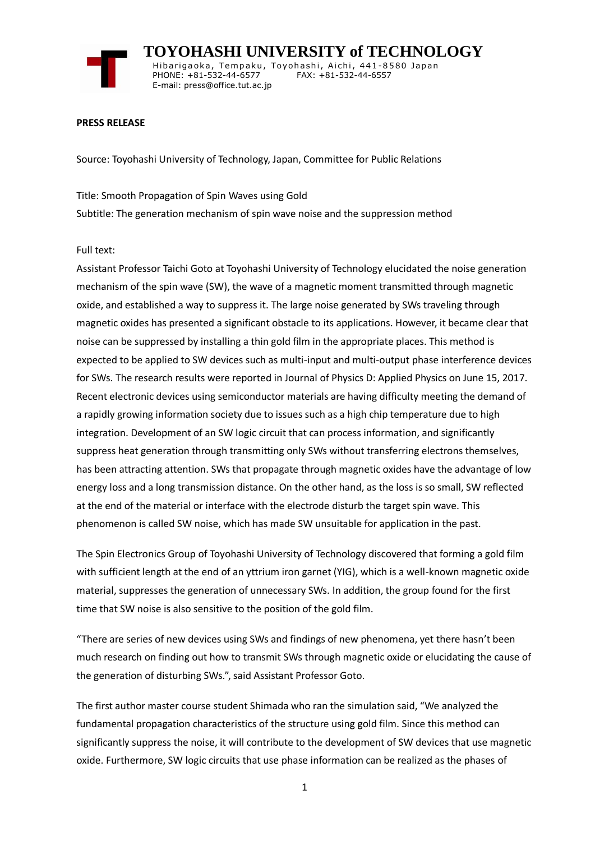

 **TOYOHASHI UNIVERSITY of TECHNOLOGY** Hibarigaoka, Tempaku, Toyohashi, Aichi, 441-8580 Japan PHONE: +81-532-44-6577 FAX: +81-532-44-6557 E-mail: press@office.tut.ac.jp

#### **PRESS RELEASE**

Source: Toyohashi University of Technology, Japan, Committee for Public Relations

Title: Smooth Propagation of Spin Waves using Gold Subtitle: The generation mechanism of spin wave noise and the suppression method

#### Full text:

Assistant Professor Taichi Goto at Toyohashi University of Technology elucidated the noise generation mechanism of the spin wave (SW), the wave of a magnetic moment transmitted through magnetic oxide, and established a way to suppress it. The large noise generated by SWs traveling through magnetic oxides has presented a significant obstacle to its applications. However, it became clear that noise can be suppressed by installing a thin gold film in the appropriate places. This method is expected to be applied to SW devices such as multi-input and multi-output phase interference devices for SWs. The research results were reported in Journal of Physics D: Applied Physics on June 15, 2017. Recent electronic devices using semiconductor materials are having difficulty meeting the demand of a rapidly growing information society due to issues such as a high chip temperature due to high integration. Development of an SW logic circuit that can process information, and significantly suppress heat generation through transmitting only SWs without transferring electrons themselves, has been attracting attention. SWs that propagate through magnetic oxides have the advantage of low energy loss and a long transmission distance. On the other hand, as the loss is so small, SW reflected at the end of the material or interface with the electrode disturb the target spin wave. This phenomenon is called SW noise, which has made SW unsuitable for application in the past.

The Spin Electronics Group of Toyohashi University of Technology discovered that forming a gold film with sufficient length at the end of an yttrium iron garnet (YIG), which is a well-known magnetic oxide material, suppresses the generation of unnecessary SWs. In addition, the group found for the first time that SW noise is also sensitive to the position of the gold film.

"There are series of new devices using SWs and findings of new phenomena, yet there hasn't been much research on finding out how to transmit SWs through magnetic oxide or elucidating the cause of the generation of disturbing SWs.", said Assistant Professor Goto.

The first author master course student Shimada who ran the simulation said, "We analyzed the fundamental propagation characteristics of the structure using gold film. Since this method can significantly suppress the noise, it will contribute to the development of SW devices that use magnetic oxide. Furthermore, SW logic circuits that use phase information can be realized as the phases of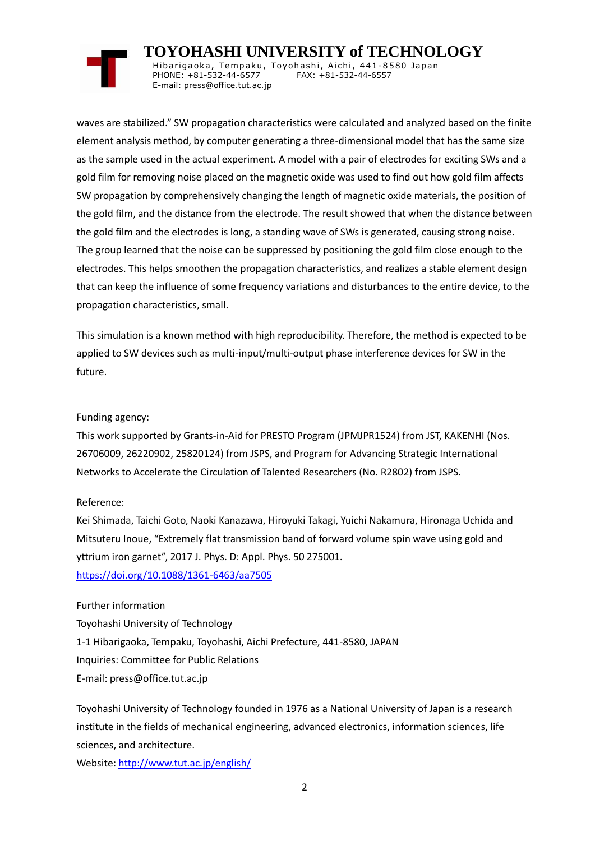# **TOYOHASHI UNIVERSITY of TECHNOLOGY**

Hibarigaoka, Tempaku, Toyohashi, Aichi, 441-8580 Japan PHONE: +81-532-44-6577 FAX: +81-532-44-6557 E-mail: press@office.tut.ac.jp

waves are stabilized." SW propagation characteristics were calculated and analyzed based on the finite element analysis method, by computer generating a three-dimensional model that has the same size as the sample used in the actual experiment. A model with a pair of electrodes for exciting SWs and a gold film for removing noise placed on the magnetic oxide was used to find out how gold film affects SW propagation by comprehensively changing the length of magnetic oxide materials, the position of the gold film, and the distance from the electrode. The result showed that when the distance between the gold film and the electrodes is long, a standing wave of SWs is generated, causing strong noise. The group learned that the noise can be suppressed by positioning the gold film close enough to the electrodes. This helps smoothen the propagation characteristics, and realizes a stable element design that can keep the influence of some frequency variations and disturbances to the entire device, to the propagation characteristics, small.

This simulation is a known method with high reproducibility. Therefore, the method is expected to be applied to SW devices such as multi-input/multi-output phase interference devices for SW in the future.

### Funding agency:

This work supported by Grants-in-Aid for PRESTO Program (JPMJPR1524) from JST, KAKENHI (Nos. 26706009, 26220902, 25820124) from JSPS, and Program for Advancing Strategic International Networks to Accelerate the Circulation of Talented Researchers (No. R2802) from JSPS.

## Reference:

Kei Shimada, Taichi Goto, Naoki Kanazawa, Hiroyuki Takagi, Yuichi Nakamura, Hironaga Uchida and Mitsuteru Inoue, "Extremely flat transmission band of forward volume spin wave using gold and yttrium iron garnet", 2017 J. Phys. D: Appl. Phys. 50 275001. <https://doi.org/10.1088/1361-6463/aa7505>

# Further information

Toyohashi University of Technology 1-1 Hibarigaoka, Tempaku, Toyohashi, Aichi Prefecture, 441-8580, JAPAN Inquiries: Committee for Public Relations E-mail: press@office.tut.ac.jp

Toyohashi University of Technology founded in 1976 as a National University of Japan is a research institute in the fields of mechanical engineering, advanced electronics, information sciences, life sciences, and architecture.

Website[: http://www.tut.ac.jp/english/](http://www.tut.ac.jp/english/)